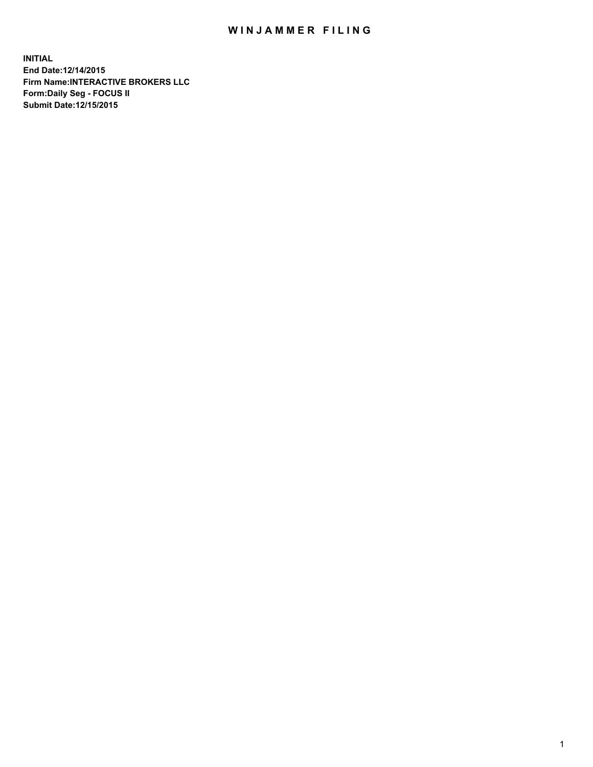## WIN JAMMER FILING

**INITIAL End Date:12/14/2015 Firm Name:INTERACTIVE BROKERS LLC Form:Daily Seg - FOCUS II Submit Date:12/15/2015**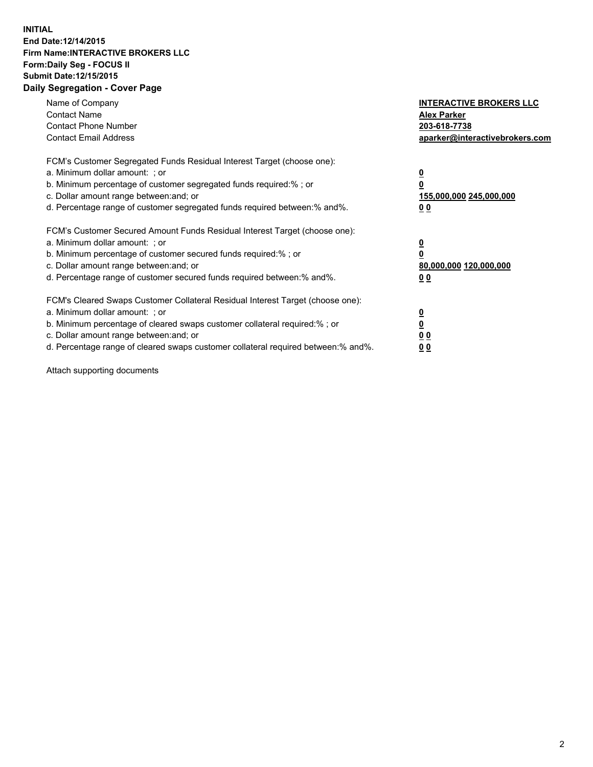## **INITIAL End Date:12/14/2015 Firm Name:INTERACTIVE BROKERS LLC Form:Daily Seg - FOCUS II Submit Date:12/15/2015 Daily Segregation - Cover Page**

| Name of Company<br><b>Contact Name</b><br><b>Contact Phone Number</b><br><b>Contact Email Address</b>                                                                                                                                                                                                                         | <b>INTERACTIVE BROKERS LLC</b><br><b>Alex Parker</b><br>203-618-7738<br>aparker@interactivebrokers.com |
|-------------------------------------------------------------------------------------------------------------------------------------------------------------------------------------------------------------------------------------------------------------------------------------------------------------------------------|--------------------------------------------------------------------------------------------------------|
| FCM's Customer Segregated Funds Residual Interest Target (choose one):<br>a. Minimum dollar amount: ; or<br>b. Minimum percentage of customer segregated funds required:% ; or<br>c. Dollar amount range between: and; or<br>d. Percentage range of customer segregated funds required between:% and%.                        | <u>0</u><br><u>155,000,000 245,000,000</u><br>00                                                       |
| FCM's Customer Secured Amount Funds Residual Interest Target (choose one):<br>a. Minimum dollar amount: ; or<br>b. Minimum percentage of customer secured funds required:% ; or<br>c. Dollar amount range between: and; or<br>d. Percentage range of customer secured funds required between: % and %.                        | $\overline{\mathbf{0}}$<br>80,000,000 120,000,000<br>00                                                |
| FCM's Cleared Swaps Customer Collateral Residual Interest Target (choose one):<br>a. Minimum dollar amount: ; or<br>b. Minimum percentage of cleared swaps customer collateral required:%; or<br>c. Dollar amount range between: and; or<br>d. Percentage range of cleared swaps customer collateral required between:% and%. | <u>0</u><br>0 <sub>0</sub><br><u>00</u>                                                                |

Attach supporting documents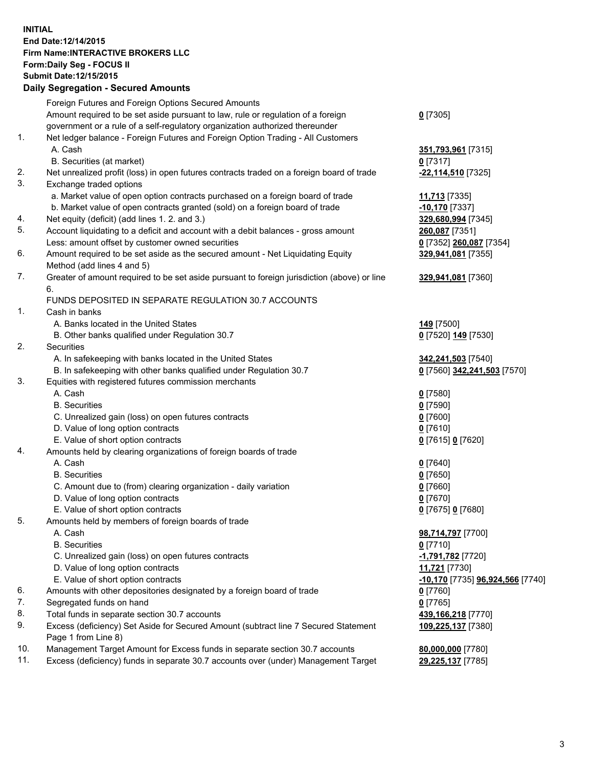## **INITIAL End Date:12/14/2015 Firm Name:INTERACTIVE BROKERS LLC Form:Daily Seg - FOCUS II Submit Date:12/15/2015 Daily Segregation - Secured Amounts**

|     | Dany Ocgregation - Oceanea Annoanta                                                         |                                  |
|-----|---------------------------------------------------------------------------------------------|----------------------------------|
|     | Foreign Futures and Foreign Options Secured Amounts                                         |                                  |
|     | Amount required to be set aside pursuant to law, rule or regulation of a foreign            | $0$ [7305]                       |
|     | government or a rule of a self-regulatory organization authorized thereunder                |                                  |
| 1.  | Net ledger balance - Foreign Futures and Foreign Option Trading - All Customers             |                                  |
|     | A. Cash                                                                                     | 351,793,961 [7315]               |
|     | B. Securities (at market)                                                                   | $0$ [7317]                       |
| 2.  | Net unrealized profit (loss) in open futures contracts traded on a foreign board of trade   | -22,114,510 [7325]               |
| 3.  | Exchange traded options                                                                     |                                  |
|     | a. Market value of open option contracts purchased on a foreign board of trade              | 11,713 [7335]                    |
|     | b. Market value of open contracts granted (sold) on a foreign board of trade                | $-10,170$ [7337]                 |
| 4.  | Net equity (deficit) (add lines 1.2. and 3.)                                                | 329,680,994 [7345]               |
| 5.  | Account liquidating to a deficit and account with a debit balances - gross amount           | 260,087 [7351]                   |
|     | Less: amount offset by customer owned securities                                            | 0 [7352] 260,087 [7354]          |
| 6.  | Amount required to be set aside as the secured amount - Net Liquidating Equity              | 329,941,081 [7355]               |
|     | Method (add lines 4 and 5)                                                                  |                                  |
| 7.  | Greater of amount required to be set aside pursuant to foreign jurisdiction (above) or line | 329,941,081 [7360]               |
|     | 6.                                                                                          |                                  |
|     | FUNDS DEPOSITED IN SEPARATE REGULATION 30.7 ACCOUNTS                                        |                                  |
| 1.  | Cash in banks                                                                               |                                  |
|     | A. Banks located in the United States                                                       | 149 <sub>[7500]</sub>            |
|     | B. Other banks qualified under Regulation 30.7                                              | 0 [7520] 149 [7530]              |
| 2.  | Securities                                                                                  |                                  |
|     | A. In safekeeping with banks located in the United States                                   | 342,241,503 [7540]               |
|     | B. In safekeeping with other banks qualified under Regulation 30.7                          | 0 [7560] 342,241,503 [7570]      |
| 3.  | Equities with registered futures commission merchants                                       |                                  |
|     | A. Cash                                                                                     | $0$ [7580]                       |
|     | <b>B.</b> Securities                                                                        | $0$ [7590]                       |
|     | C. Unrealized gain (loss) on open futures contracts                                         | $0$ [7600]                       |
|     | D. Value of long option contracts                                                           | $0$ [7610]                       |
|     | E. Value of short option contracts                                                          | 0 [7615] 0 [7620]                |
| 4.  | Amounts held by clearing organizations of foreign boards of trade                           |                                  |
|     | A. Cash                                                                                     | $0$ [7640]                       |
|     | <b>B.</b> Securities                                                                        | $0$ [7650]                       |
|     | C. Amount due to (from) clearing organization - daily variation                             | $0$ [7660]                       |
|     | D. Value of long option contracts                                                           | $0$ [7670]                       |
|     | E. Value of short option contracts                                                          | 0 [7675] 0 [7680]                |
| 5.  | Amounts held by members of foreign boards of trade                                          |                                  |
|     | A. Cash                                                                                     | 98,714,797 [7700]                |
|     | <b>B.</b> Securities                                                                        | $0$ [7710]                       |
|     | C. Unrealized gain (loss) on open futures contracts                                         | -1,791,782 [7720]                |
|     | D. Value of long option contracts                                                           | 11,721 [7730]                    |
|     | E. Value of short option contracts                                                          | -10,170 [7735] 96,924,566 [7740] |
| 6.  | Amounts with other depositories designated by a foreign board of trade                      | 0 [7760]                         |
| 7.  | Segregated funds on hand                                                                    | $0$ [7765]                       |
| 8.  | Total funds in separate section 30.7 accounts                                               | 439,166,218 [7770]               |
| 9.  | Excess (deficiency) Set Aside for Secured Amount (subtract line 7 Secured Statement         | 109,225,137 [7380]               |
|     | Page 1 from Line 8)                                                                         |                                  |
| 10. | Management Target Amount for Excess funds in separate section 30.7 accounts                 | 80,000,000 [7780]                |
| 11. | Excess (deficiency) funds in separate 30.7 accounts over (under) Management Target          | 29,225,137 [7785]                |
|     |                                                                                             |                                  |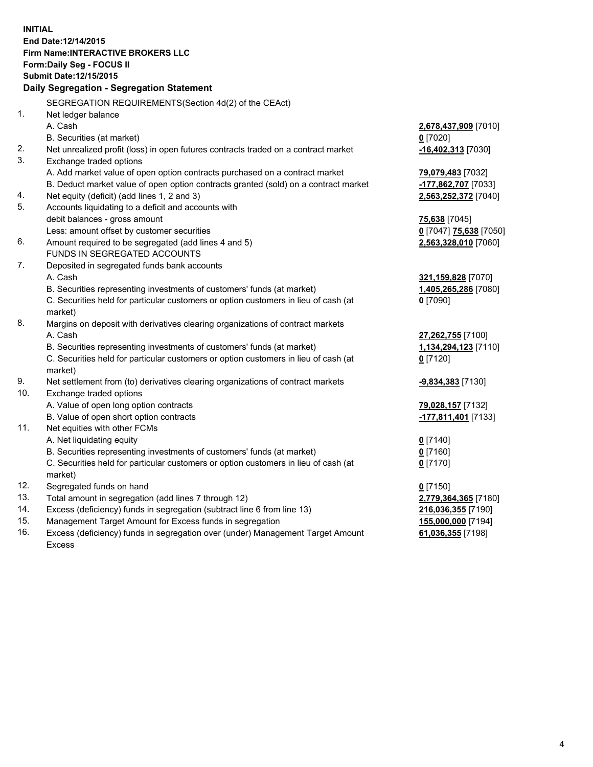**INITIAL End Date:12/14/2015 Firm Name:INTERACTIVE BROKERS LLC Form:Daily Seg - FOCUS II Submit Date:12/15/2015 Daily Segregation - Segregation Statement** SEGREGATION REQUIREMENTS(Section 4d(2) of the CEAct) 1. Net ledger balance A. Cash **2,678,437,909** [7010] B. Securities (at market) **0** [7020] 2. Net unrealized profit (loss) in open futures contracts traded on a contract market **-16,402,313** [7030] 3. Exchange traded options A. Add market value of open option contracts purchased on a contract market **79,079,483** [7032] B. Deduct market value of open option contracts granted (sold) on a contract market **-177,862,707** [7033] 4. Net equity (deficit) (add lines 1, 2 and 3) **2,563,252,372** [7040] 5. Accounts liquidating to a deficit and accounts with debit balances - gross amount **75,638** [7045] Less: amount offset by customer securities **0** [7047] **75,638** [7050] 6. Amount required to be segregated (add lines 4 and 5) **2,563,328,010** [7060] FUNDS IN SEGREGATED ACCOUNTS 7. Deposited in segregated funds bank accounts A. Cash **321,159,828** [7070] B. Securities representing investments of customers' funds (at market) **1,405,265,286** [7080] C. Securities held for particular customers or option customers in lieu of cash (at market) **0** [7090] 8. Margins on deposit with derivatives clearing organizations of contract markets A. Cash **27,262,755** [7100] B. Securities representing investments of customers' funds (at market) **1,134,294,123** [7110] C. Securities held for particular customers or option customers in lieu of cash (at market) **0** [7120] 9. Net settlement from (to) derivatives clearing organizations of contract markets **-9,834,383** [7130] 10. Exchange traded options A. Value of open long option contracts **79,028,157** [7132] B. Value of open short option contracts **-177,811,401** [7133] 11. Net equities with other FCMs A. Net liquidating equity **0** [7140] B. Securities representing investments of customers' funds (at market) **0** [7160] C. Securities held for particular customers or option customers in lieu of cash (at market) **0** [7170] 12. Segregated funds on hand **0** [7150] 13. Total amount in segregation (add lines 7 through 12) **2,779,364,365** [7180] 14. Excess (deficiency) funds in segregation (subtract line 6 from line 13) **216,036,355** [7190] 15. Management Target Amount for Excess funds in segregation **155,000,000** [7194] **61,036,355** [7198]

16. Excess (deficiency) funds in segregation over (under) Management Target Amount Excess